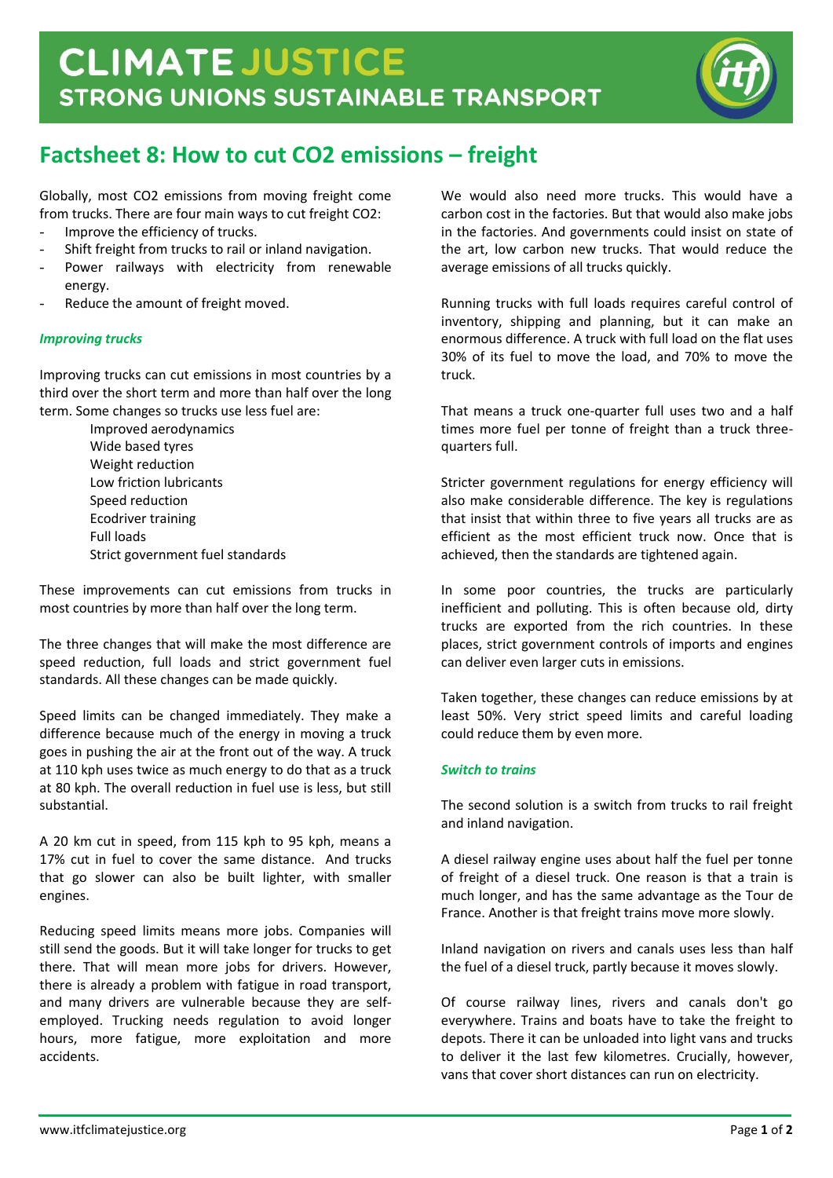

# **Factsheet 8: How to cut CO2 emissions – freight**

Globally, most CO2 emissions from moving freight come from trucks. There are four main ways to cut freight CO2:

- Improve the efficiency of trucks.
- Shift freight from trucks to rail or inland navigation.
- Power railways with electricity from renewable energy.
- Reduce the amount of freight moved.

## *Improving trucks*

Improving trucks can cut emissions in most countries by a third over the short term and more than half over the long term. Some changes so trucks use less fuel are:

> Improved aerodynamics Wide based tyres Weight reduction Low friction lubricants Speed reduction Ecodriver training Full loads Strict government fuel standards

These improvements can cut emissions from trucks in most countries by more than half over the long term.

The three changes that will make the most difference are speed reduction, full loads and strict government fuel standards. All these changes can be made quickly.

Speed limits can be changed immediately. They make a difference because much of the energy in moving a truck goes in pushing the air at the front out of the way. A truck at 110 kph uses twice as much energy to do that as a truck at 80 kph. The overall reduction in fuel use is less, but still substantial.

A 20 km cut in speed, from 115 kph to 95 kph, means a 17% cut in fuel to cover the same distance. And trucks that go slower can also be built lighter, with smaller engines.

Reducing speed limits means more jobs. Companies will still send the goods. But it will take longer for trucks to get there. That will mean more jobs for drivers. However, there is already a problem with fatigue in road transport, and many drivers are vulnerable because they are selfemployed. Trucking needs regulation to avoid longer hours, more fatigue, more exploitation and more accidents.

We would also need more trucks. This would have a carbon cost in the factories. But that would also make jobs in the factories. And governments could insist on state of the art, low carbon new trucks. That would reduce the average emissions of all trucks quickly.

Running trucks with full loads requires careful control of inventory, shipping and planning, but it can make an enormous difference. A truck with full load on the flat uses 30% of its fuel to move the load, and 70% to move the truck.

That means a truck one-quarter full uses two and a half times more fuel per tonne of freight than a truck threequarters full.

Stricter government regulations for energy efficiency will also make considerable difference. The key is regulations that insist that within three to five years all trucks are as efficient as the most efficient truck now. Once that is achieved, then the standards are tightened again.

In some poor countries, the trucks are particularly inefficient and polluting. This is often because old, dirty trucks are exported from the rich countries. In these places, strict government controls of imports and engines can deliver even larger cuts in emissions.

Taken together, these changes can reduce emissions by at least 50%. Very strict speed limits and careful loading could reduce them by even more.

## *Switch to trains*

The second solution is a switch from trucks to rail freight and inland navigation.

A diesel railway engine uses about half the fuel per tonne of freight of a diesel truck. One reason is that a train is much longer, and has the same advantage as the Tour de France. Another is that freight trains move more slowly.

Inland navigation on rivers and canals uses less than half the fuel of a diesel truck, partly because it moves slowly.

Of course railway lines, rivers and canals don't go everywhere. Trains and boats have to take the freight to depots. There it can be unloaded into light vans and trucks to deliver it the last few kilometres. Crucially, however, vans that cover short distances can run on electricity.